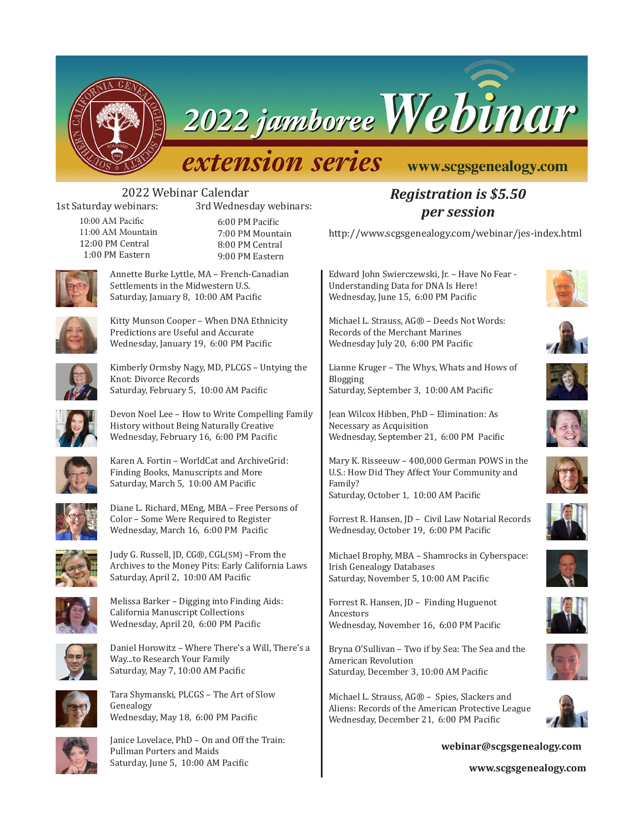

2022 jamboree Webinar

# *extension series*

### www.scgsgenealogy.com

# 2022 Webinar Calendar<br>1st Saturday webinars: 3rd Wednes

3rd Wednesday webinars:

10:00 AM Pacific 11:00 AM Mountain 12:00 PM Central 1:00 PM Eastern

6:00 PM Pacific 7:00 PM Mountain 8:00 PM Central 9:00 PM Eastern



Annette Burke Lyttle, MA – French-Canadian Settlements in the Midwestern U.S. Saturday, January 8, 10:00 AM Pacific



Kitty Munson Cooper – When DNA Ethnicity Predictions are Useful and Accurate Wednesday, January 19, 6:00 PM Pacific



Kimberly Ormsby Nagy, MD, PLCGS – Untying the Knot: Divorce Records Saturday, February 5, 10:00 AM Pacific

Devon Noel Lee – How to Write Compelling Family History without Being Naturally Creative Wednesday, February 16, 6:00 PM Pacific



Karen A. Fortin – WorldCat and ArchiveGrid: Finding Books, Manuscripts and More Saturday, March 5, 10:00 AM Pacific



Diane L. Richard, MEng, MBA – Free Persons of Color – Some Were Required to Register Wednesday, March 16, 6:00 PM Pacific



Judy G. Russell, JD, CG®, CGL(SM) –From the Archives to the Money Pits: Early California Laws Saturday, April 2, 10:00 AM Pacific



Melissa Barker – Digging into Finding Aids: California Manuscript Collections Wednesday, April 20, 6:00 PM Pacific



Daniel Horowitz – Where There's a Will, There's a Way...to Research Your Family Saturday, May 7, 10:00 AM Pacific



Tara Shymanski, PLCGS – The Art of Slow Genealogy Wednesday, May 18, 6:00 PM Pacific



Janice Lovelace, PhD – On and Off the Train: Pullman Porters and Maids Saturday, June 5, 10:00 AM Pacific

### *Registration is \$5.50 per session*

http://www.scgsgenealogy.com/webinar/jes-index.html

Edward John Swierczewski, Jr. – Have No Fear - Understanding Data for DNA Is Here! Wednesday, June 15, 6:00 PM Pacific

Michael L. Strauss, AG® – Deeds Not Words: Records of the Merchant Marines Wednesday July 20, 6:00 PM Pacific

Lianne Kruger – The Whys, Whats and Hows of Blogging Saturday, September 3, 10:00 AM Pacific

Jean Wilcox Hibben, PhD – Elimination: As Necessary as Acquisition Wednesday, September 21, 6:00 PM Pacific

Mary K. Risseeuw – 400,000 German POWS in the U.S.: How Did They Affect Your Community and Family? Saturday, October 1, 10:00 AM Pacific

Forrest R. Hansen, JD – Civil Law Notarial Records Wednesday, October 19, 6:00 PM Pacific

Michael Brophy, MBA – Shamrocks in Cyberspace: Irish Genealogy Databases Saturday, November 5, 10:00 AM Pacific

Forrest R. Hansen, JD – Finding Huguenot Ancestors Wednesday, November 16, 6:00 PM Pacific

Bryna O'Sullivan – Two if by Sea: The Sea and the American Revolution Saturday, December 3, 10:00 AM Pacific

Michael L. Strauss, AG® – Spies, Slackers and Aliens: Records of the American Protective League Wednesday, December 21, 6:00 PM Pacific





















**webinar@scgsgenealogy.com**

**www.scgsgenealogy.com**